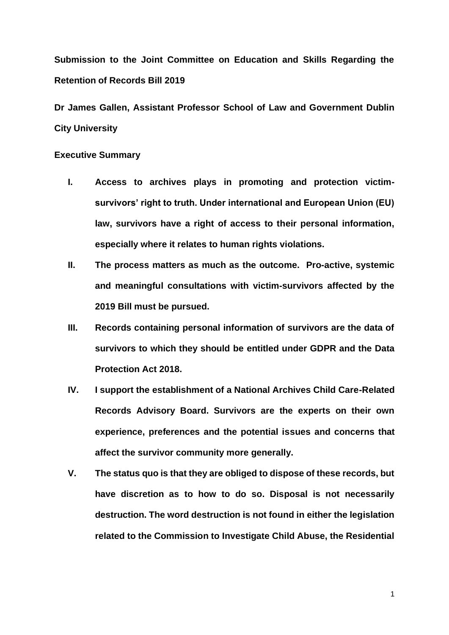**Submission to the Joint Committee on Education and Skills Regarding the Retention of Records Bill 2019**

**Dr James Gallen, Assistant Professor School of Law and Government Dublin City University**

### **Executive Summary**

- **I. Access to archives plays in promoting and protection victimsurvivors' right to truth. Under international and European Union (EU) law, survivors have a right of access to their personal information, especially where it relates to human rights violations.**
- **II. The process matters as much as the outcome. Pro-active, systemic and meaningful consultations with victim-survivors affected by the 2019 Bill must be pursued.**
- **III. Records containing personal information of survivors are the data of survivors to which they should be entitled under GDPR and the Data Protection Act 2018.**
- **IV. I support the establishment of a National Archives Child Care-Related Records Advisory Board. Survivors are the experts on their own experience, preferences and the potential issues and concerns that affect the survivor community more generally.**
- **V. The status quo is that they are obliged to dispose of these records, but have discretion as to how to do so. Disposal is not necessarily destruction. The word destruction is not found in either the legislation related to the Commission to Investigate Child Abuse, the Residential**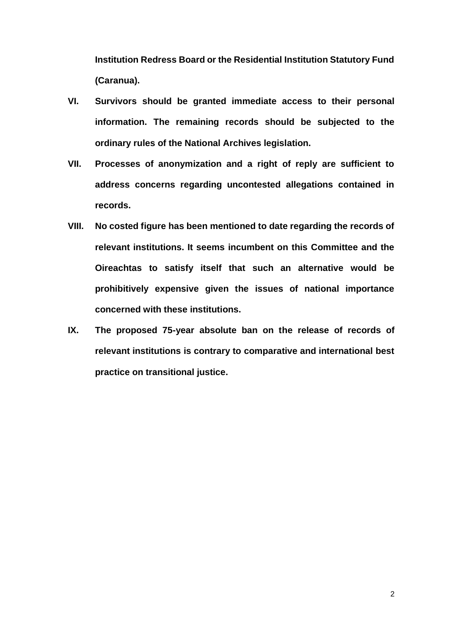**Institution Redress Board or the Residential Institution Statutory Fund (Caranua).**

- **VI. Survivors should be granted immediate access to their personal information. The remaining records should be subjected to the ordinary rules of the National Archives legislation.**
- **VII. Processes of anonymization and a right of reply are sufficient to address concerns regarding uncontested allegations contained in records.**
- **VIII. No costed figure has been mentioned to date regarding the records of relevant institutions. It seems incumbent on this Committee and the Oireachtas to satisfy itself that such an alternative would be prohibitively expensive given the issues of national importance concerned with these institutions.**
- **IX. The proposed 75-year absolute ban on the release of records of relevant institutions is contrary to comparative and international best practice on transitional justice.**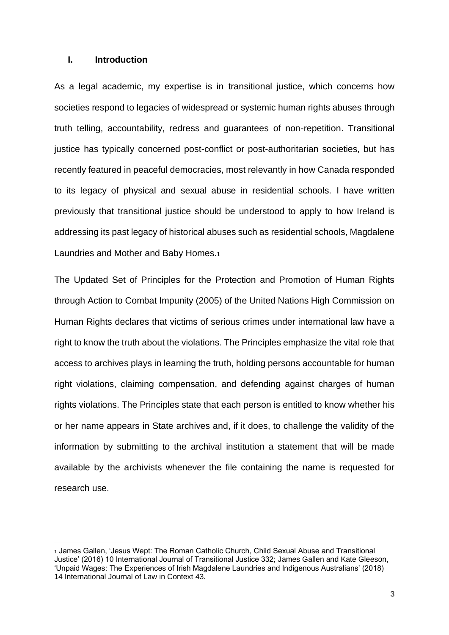## **I. Introduction**

As a legal academic, my expertise is in transitional justice, which concerns how societies respond to legacies of widespread or systemic human rights abuses through truth telling, accountability, redress and guarantees of non-repetition. Transitional justice has typically concerned post-conflict or post-authoritarian societies, but has recently featured in peaceful democracies, most relevantly in how Canada responded to its legacy of physical and sexual abuse in residential schools. I have written previously that transitional justice should be understood to apply to how Ireland is addressing its past legacy of historical abuses such as residential schools, Magdalene Laundries and Mother and Baby Homes.<sup>1</sup>

The Updated Set of Principles for the Protection and Promotion of Human Rights through Action to Combat Impunity (2005) of the United Nations High Commission on Human Rights declares that victims of serious crimes under international law have a right to know the truth about the violations. The Principles emphasize the vital role that access to archives plays in learning the truth, holding persons accountable for human right violations, claiming compensation, and defending against charges of human rights violations. The Principles state that each person is entitled to know whether his or her name appears in State archives and, if it does, to challenge the validity of the information by submitting to the archival institution a statement that will be made available by the archivists whenever the file containing the name is requested for research use.

<sup>1</sup> James Gallen, 'Jesus Wept: The Roman Catholic Church, Child Sexual Abuse and Transitional Justice' (2016) 10 International Journal of Transitional Justice 332; James Gallen and Kate Gleeson, 'Unpaid Wages: The Experiences of Irish Magdalene Laundries and Indigenous Australians' (2018) 14 International Journal of Law in Context 43.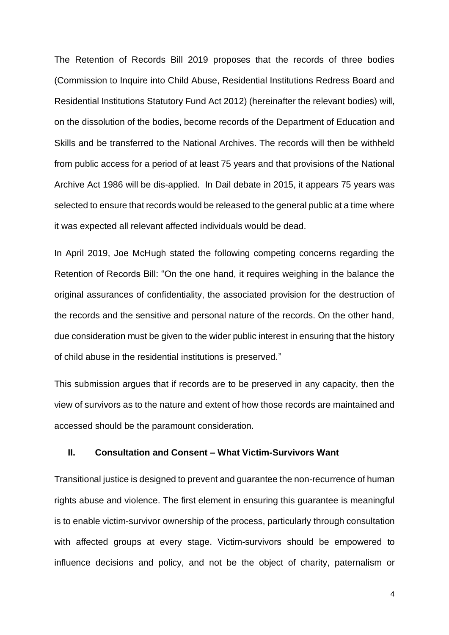The Retention of Records Bill 2019 proposes that the records of three bodies (Commission to Inquire into Child Abuse, Residential Institutions Redress Board and Residential Institutions Statutory Fund Act 2012) (hereinafter the relevant bodies) will, on the dissolution of the bodies, become records of the Department of Education and Skills and be transferred to the National Archives. The records will then be withheld from public access for a period of at least 75 years and that provisions of the National Archive Act 1986 will be dis-applied. In Dail debate in 2015, it appears 75 years was selected to ensure that records would be released to the general public at a time where it was expected all relevant affected individuals would be dead.

In April 2019, Joe McHugh stated the following competing concerns regarding the Retention of Records Bill: "On the one hand, it requires weighing in the balance the original assurances of confidentiality, the associated provision for the destruction of the records and the sensitive and personal nature of the records. On the other hand, due consideration must be given to the wider public interest in ensuring that the history of child abuse in the residential institutions is preserved."

This submission argues that if records are to be preserved in any capacity, then the view of survivors as to the nature and extent of how those records are maintained and accessed should be the paramount consideration.

### **II. Consultation and Consent – What Victim-Survivors Want**

Transitional justice is designed to prevent and guarantee the non-recurrence of human rights abuse and violence. The first element in ensuring this guarantee is meaningful is to enable victim-survivor ownership of the process, particularly through consultation with affected groups at every stage. Victim-survivors should be empowered to influence decisions and policy, and not be the object of charity, paternalism or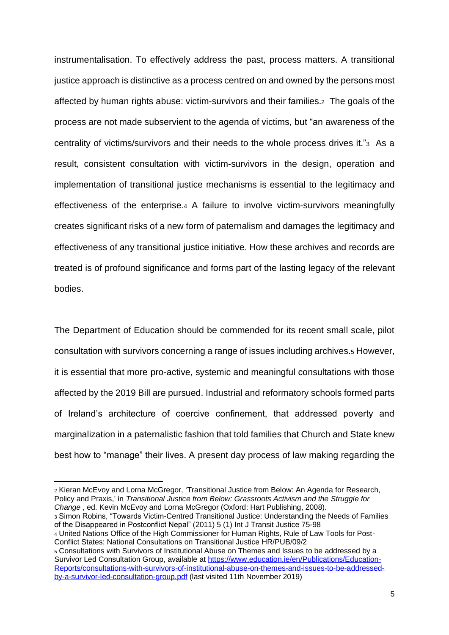instrumentalisation. To effectively address the past, process matters. A transitional justice approach is distinctive as a process centred on and owned by the persons most affected by human rights abuse: victim-survivors and their families.2 The goals of the process are not made subservient to the agenda of victims, but "an awareness of the centrality of victims/survivors and their needs to the whole process drives it."3 As a result, consistent consultation with victim-survivors in the design, operation and implementation of transitional justice mechanisms is essential to the legitimacy and effectiveness of the enterprise.<sup>4</sup> A failure to involve victim-survivors meaningfully creates significant risks of a new form of paternalism and damages the legitimacy and effectiveness of any transitional justice initiative. How these archives and records are treated is of profound significance and forms part of the lasting legacy of the relevant bodies.

The Department of Education should be commended for its recent small scale, pilot consultation with survivors concerning a range of issues including archives.<sup>5</sup> However, it is essential that more pro-active, systemic and meaningful consultations with those affected by the 2019 Bill are pursued. Industrial and reformatory schools formed parts of Ireland's architecture of coercive confinement, that addressed poverty and marginalization in a paternalistic fashion that told families that Church and State knew best how to "manage" their lives. A present day process of law making regarding the

<sup>2</sup> Kieran McEvoy and Lorna McGregor, 'Transitional Justice from Below: An Agenda for Research, Policy and Praxis,' in *Transitional Justice from Below: Grassroots Activism and the Struggle for Change* , ed. Kevin McEvoy and Lorna McGregor (Oxford: Hart Publishing, 2008).

<sup>3</sup> Simon Robins, "Towards Victim-Centred Transitional Justice: Understanding the Needs of Families of the Disappeared in Postconflict Nepal" (2011) 5 (1) Int J Transit Justice 75-98

<sup>4</sup> United Nations Office of the High Commissioner for Human Rights, Rule of Law Tools for Post-Conflict States: National Consultations on Transitional Justice HR/PUB/09/2

<sup>5</sup> Consultations with Survivors of Institutional Abuse on Themes and Issues to be addressed by a Survivor Led Consultation Group, available at [https://www.education.ie/en/Publications/Education-](https://www.education.ie/en/Publications/Education-Reports/consultations-with-survivors-of-institutional-abuse-on-themes-and-issues-to-be-addressed-by-a-survivor-led-consultation-group.pdf)[Reports/consultations-with-survivors-of-institutional-abuse-on-themes-and-issues-to-be-addressed](https://www.education.ie/en/Publications/Education-Reports/consultations-with-survivors-of-institutional-abuse-on-themes-and-issues-to-be-addressed-by-a-survivor-led-consultation-group.pdf)[by-a-survivor-led-consultation-group.pdf](https://www.education.ie/en/Publications/Education-Reports/consultations-with-survivors-of-institutional-abuse-on-themes-and-issues-to-be-addressed-by-a-survivor-led-consultation-group.pdf) (last visited 11th November 2019)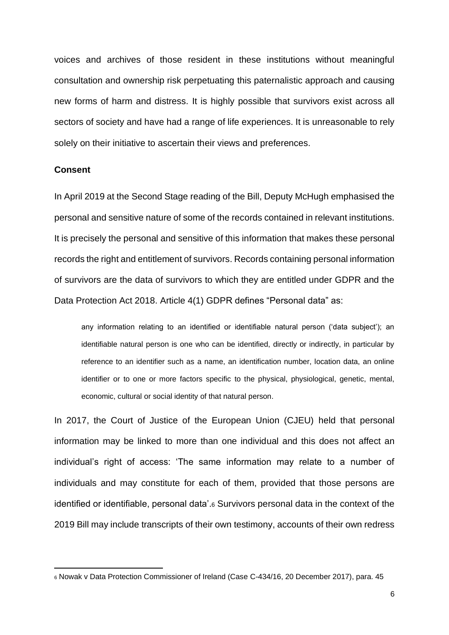voices and archives of those resident in these institutions without meaningful consultation and ownership risk perpetuating this paternalistic approach and causing new forms of harm and distress. It is highly possible that survivors exist across all sectors of society and have had a range of life experiences. It is unreasonable to rely solely on their initiative to ascertain their views and preferences.

#### **Consent**

In April 2019 at the Second Stage reading of the Bill, Deputy McHugh emphasised the personal and sensitive nature of some of the records contained in relevant institutions. It is precisely the personal and sensitive of this information that makes these personal records the right and entitlement of survivors. Records containing personal information of survivors are the data of survivors to which they are entitled under GDPR and the Data Protection Act 2018. Article 4(1) GDPR defines "Personal data" as:

any information relating to an identified or identifiable natural person ('data subject'); an identifiable natural person is one who can be identified, directly or indirectly, in particular by reference to an identifier such as a name, an identification number, location data, an online identifier or to one or more factors specific to the physical, physiological, genetic, mental, economic, cultural or social identity of that natural person.

In 2017, the Court of Justice of the European Union (CJEU) held that personal information may be linked to more than one individual and this does not affect an individual's right of access: 'The same information may relate to a number of individuals and may constitute for each of them, provided that those persons are identified or identifiable, personal data'.<sup>6</sup> Survivors personal data in the context of the 2019 Bill may include transcripts of their own testimony, accounts of their own redress

<sup>6</sup> Nowak v Data Protection Commissioner of Ireland (Case C-434/16, 20 December 2017), para. 45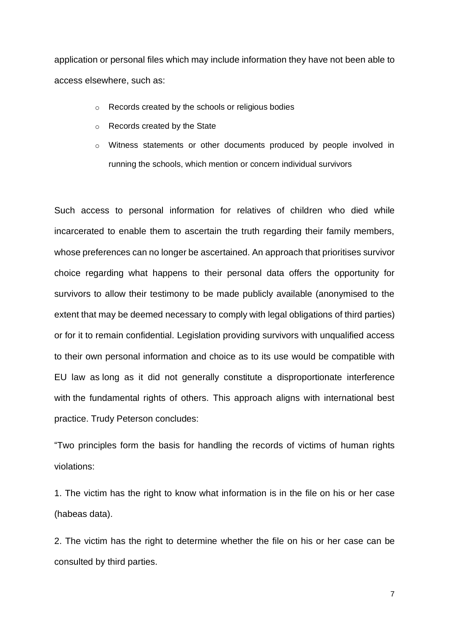application or personal files which may include information they have not been able to access elsewhere, such as:

- o Records created by the schools or religious bodies
- o Records created by the State
- o Witness statements or other documents produced by people involved in running the schools, which mention or concern individual survivors

Such access to personal information for relatives of children who died while incarcerated to enable them to ascertain the truth regarding their family members, whose preferences can no longer be ascertained. An approach that prioritises survivor choice regarding what happens to their personal data offers the opportunity for survivors to allow their testimony to be made publicly available (anonymised to the extent that may be deemed necessary to comply with legal obligations of third parties) or for it to remain confidential. Legislation providing survivors with unqualified access to their own personal information and choice as to its use would be compatible with EU law as long as it did not generally constitute a disproportionate interference with the fundamental rights of others. This approach aligns with international best practice. Trudy Peterson concludes:

"Two principles form the basis for handling the records of victims of human rights violations:

1. The victim has the right to know what information is in the file on his or her case (habeas data).

2. The victim has the right to determine whether the file on his or her case can be consulted by third parties.

7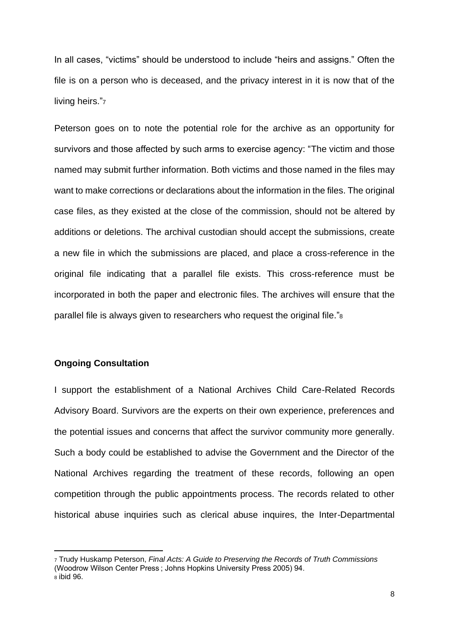In all cases, "victims" should be understood to include "heirs and assigns." Often the file is on a person who is deceased, and the privacy interest in it is now that of the living heirs."7

Peterson goes on to note the potential role for the archive as an opportunity for survivors and those affected by such arms to exercise agency: "The victim and those named may submit further information. Both victims and those named in the files may want to make corrections or declarations about the information in the files. The original case files, as they existed at the close of the commission, should not be altered by additions or deletions. The archival custodian should accept the submissions, create a new file in which the submissions are placed, and place a cross-reference in the original file indicating that a parallel file exists. This cross-reference must be incorporated in both the paper and electronic files. The archives will ensure that the parallel file is always given to researchers who request the original file."<sup>8</sup>

### **Ongoing Consultation**

I support the establishment of a National Archives Child Care-Related Records Advisory Board. Survivors are the experts on their own experience, preferences and the potential issues and concerns that affect the survivor community more generally. Such a body could be established to advise the Government and the Director of the National Archives regarding the treatment of these records, following an open competition through the public appointments process. The records related to other historical abuse inquiries such as clerical abuse inquires, the Inter-Departmental

<sup>7</sup> Trudy Huskamp Peterson, *Final Acts: A Guide to Preserving the Records of Truth Commissions* (Woodrow Wilson Center Press ; Johns Hopkins University Press 2005) 94.  $\overline{8}$  ibid 96.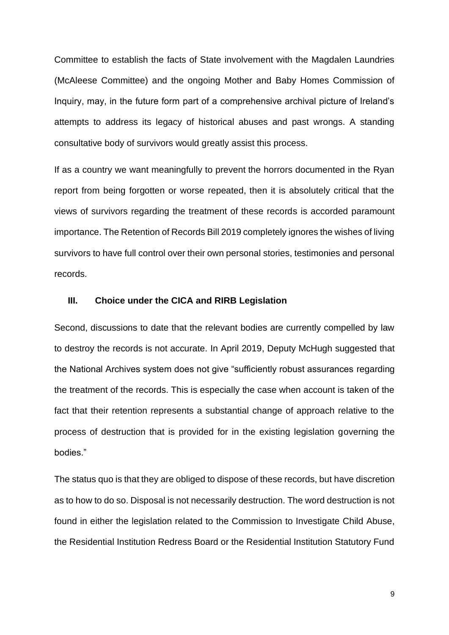Committee to establish the facts of State involvement with the Magdalen Laundries (McAleese Committee) and the ongoing Mother and Baby Homes Commission of Inquiry, may, in the future form part of a comprehensive archival picture of Ireland's attempts to address its legacy of historical abuses and past wrongs. A standing consultative body of survivors would greatly assist this process.

If as a country we want meaningfully to prevent the horrors documented in the Ryan report from being forgotten or worse repeated, then it is absolutely critical that the views of survivors regarding the treatment of these records is accorded paramount importance. The Retention of Records Bill 2019 completely ignores the wishes of living survivors to have full control over their own personal stories, testimonies and personal records.

#### **III. Choice under the CICA and RIRB Legislation**

Second, discussions to date that the relevant bodies are currently compelled by law to destroy the records is not accurate. In April 2019, Deputy McHugh suggested that the National Archives system does not give "sufficiently robust assurances regarding the treatment of the records. This is especially the case when account is taken of the fact that their retention represents a substantial change of approach relative to the process of destruction that is provided for in the existing legislation governing the bodies."

The status quo is that they are obliged to dispose of these records, but have discretion as to how to do so. Disposal is not necessarily destruction. The word destruction is not found in either the legislation related to the Commission to Investigate Child Abuse, the Residential Institution Redress Board or the Residential Institution Statutory Fund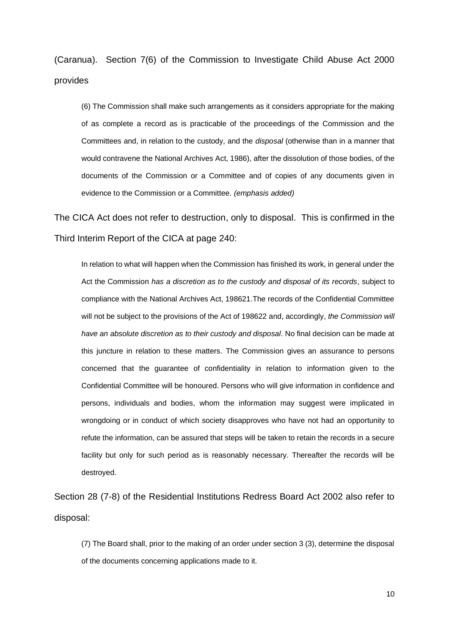(Caranua). Section 7(6) of the Commission to Investigate Child Abuse Act 2000 provides

(6) The Commission shall make such arrangements as it considers appropriate for the making of as complete a record as is practicable of the proceedings of the Commission and the Committees and, in relation to the custody, and the *disposal* (otherwise than in a manner that would contravene the National Archives Act, 1986), after the dissolution of those bodies, of the documents of the Commission or a Committee and of copies of any documents given in evidence to the Commission or a Committee. *(emphasis added)*

The CICA Act does not refer to destruction, only to disposal. This is confirmed in the Third Interim Report of the CICA at page 240:

In relation to what will happen when the Commission has finished its work, in general under the Act the Commission *has a discretion as to the custody and disposal of its records*, subject to compliance with the National Archives Act, 198621.The records of the Confidential Committee will not be subject to the provisions of the Act of 198622 and, accordingly, *the Commission will have an absolute discretion as to their custody and disposal*. No final decision can be made at this juncture in relation to these matters. The Commission gives an assurance to persons concerned that the guarantee of confidentiality in relation to information given to the Confidential Committee will be honoured. Persons who will give information in confidence and persons, individuals and bodies, whom the information may suggest were implicated in wrongdoing or in conduct of which society disapproves who have not had an opportunity to refute the information, can be assured that steps will be taken to retain the records in a secure facility but only for such period as is reasonably necessary. Thereafter the records will be destroyed.

Section 28 (7-8) of the Residential Institutions Redress Board Act 2002 also refer to disposal:

(7) The Board shall, prior to the making of an order under section 3 (3), determine the disposal of the documents concerning applications made to it.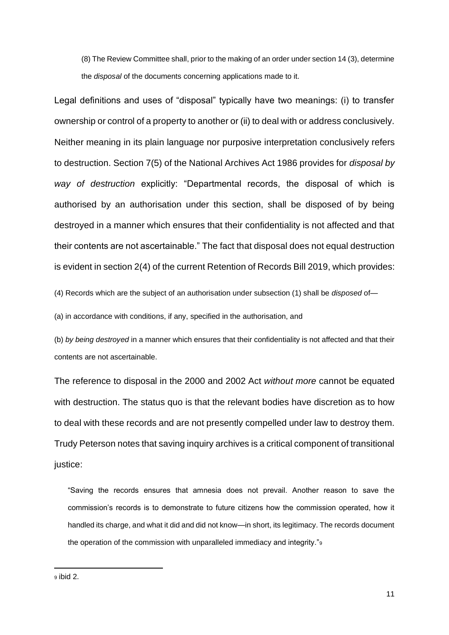(8) The Review Committee shall, prior to the making of an order under section 14 (3), determine the *disposal* of the documents concerning applications made to it.

Legal definitions and uses of "disposal" typically have two meanings: (i) to transfer ownership or control of a property to another or (ii) to deal with or address conclusively. Neither meaning in its plain language nor purposive interpretation conclusively refers to destruction. Section 7(5) of the National Archives Act 1986 provides for *disposal by way of destruction* explicitly: "Departmental records, the disposal of which is authorised by an authorisation under this section, shall be disposed of by being destroyed in a manner which ensures that their confidentiality is not affected and that their contents are not ascertainable." The fact that disposal does not equal destruction is evident in section 2(4) of the current Retention of Records Bill 2019, which provides:

(4) Records which are the subject of an authorisation under subsection (1) shall be *disposed* of—

(a) in accordance with conditions, if any, specified in the authorisation, and

(b) *by being destroyed* in a manner which ensures that their confidentiality is not affected and that their contents are not ascertainable.

The reference to disposal in the 2000 and 2002 Act *without more* cannot be equated with destruction. The status quo is that the relevant bodies have discretion as to how to deal with these records and are not presently compelled under law to destroy them. Trudy Peterson notes that saving inquiry archives is a critical component of transitional justice:

"Saving the records ensures that amnesia does not prevail. Another reason to save the commission's records is to demonstrate to future citizens how the commission operated, how it handled its charge, and what it did and did not know—in short, its legitimacy. The records document the operation of the commission with unparalleled immediacy and integrity."<sup>9</sup>

<sup>9</sup> ibid 2.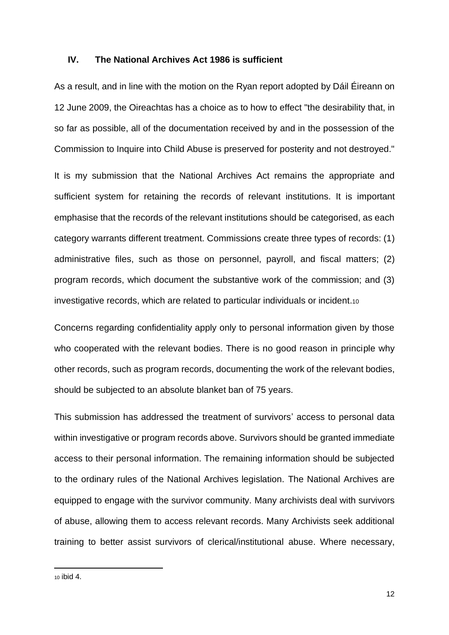#### **IV. The National Archives Act 1986 is sufficient**

As a result, and in line with the motion on the Ryan report adopted by Dáil Éireann on 12 June 2009, the Oireachtas has a choice as to how to effect "the desirability that, in so far as possible, all of the documentation received by and in the possession of the Commission to Inquire into Child Abuse is preserved for posterity and not destroyed."

It is my submission that the National Archives Act remains the appropriate and sufficient system for retaining the records of relevant institutions. It is important emphasise that the records of the relevant institutions should be categorised, as each category warrants different treatment. Commissions create three types of records: (1) administrative files, such as those on personnel, payroll, and fiscal matters; (2) program records, which document the substantive work of the commission; and (3) investigative records, which are related to particular individuals or incident.<sup>10</sup>

Concerns regarding confidentiality apply only to personal information given by those who cooperated with the relevant bodies. There is no good reason in principle why other records, such as program records, documenting the work of the relevant bodies, should be subjected to an absolute blanket ban of 75 years.

This submission has addressed the treatment of survivors' access to personal data within investigative or program records above. Survivors should be granted immediate access to their personal information. The remaining information should be subjected to the ordinary rules of the National Archives legislation. The National Archives are equipped to engage with the survivor community. Many archivists deal with survivors of abuse, allowing them to access relevant records. Many Archivists seek additional training to better assist survivors of clerical/institutional abuse. Where necessary,

<sup>10</sup> ibid 4.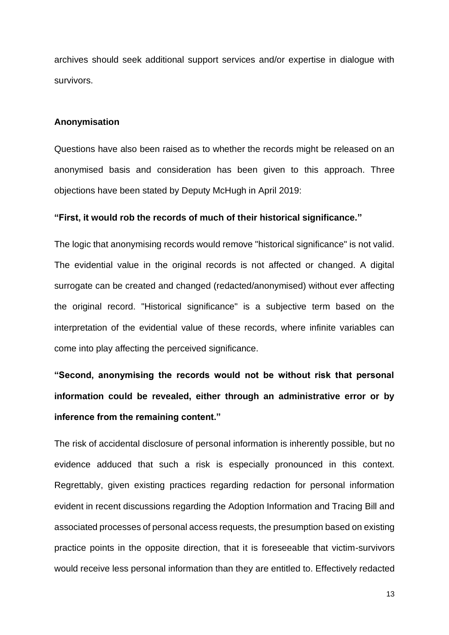archives should seek additional support services and/or expertise in dialogue with survivors.

#### **Anonymisation**

Questions have also been raised as to whether the records might be released on an anonymised basis and consideration has been given to this approach. Three objections have been stated by Deputy McHugh in April 2019:

#### **"First, it would rob the records of much of their historical significance."**

The logic that anonymising records would remove "historical significance" is not valid. The evidential value in the original records is not affected or changed. A digital surrogate can be created and changed (redacted/anonymised) without ever affecting the original record. "Historical significance" is a subjective term based on the interpretation of the evidential value of these records, where infinite variables can come into play affecting the perceived significance.

**"Second, anonymising the records would not be without risk that personal information could be revealed, either through an administrative error or by inference from the remaining content."**

The risk of accidental disclosure of personal information is inherently possible, but no evidence adduced that such a risk is especially pronounced in this context. Regrettably, given existing practices regarding redaction for personal information evident in recent discussions regarding the Adoption Information and Tracing Bill and associated processes of personal access requests, the presumption based on existing practice points in the opposite direction, that it is foreseeable that victim-survivors would receive less personal information than they are entitled to. Effectively redacted

13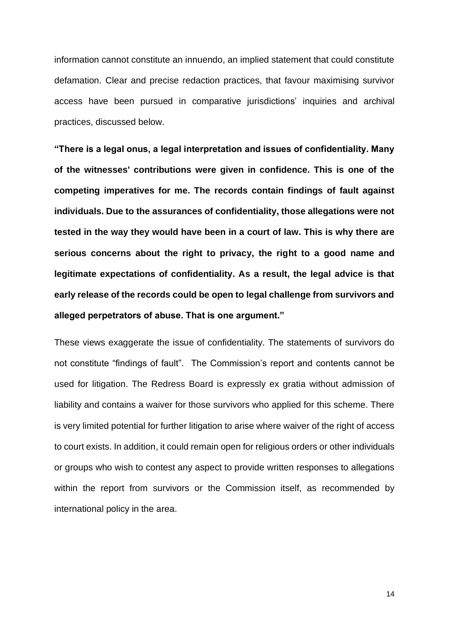information cannot constitute an innuendo, an implied statement that could constitute defamation. Clear and precise redaction practices, that favour maximising survivor access have been pursued in comparative jurisdictions' inquiries and archival practices, discussed below.

**"There is a legal onus, a legal interpretation and issues of confidentiality. Many of the witnesses' contributions were given in confidence. This is one of the competing imperatives for me. The records contain findings of fault against individuals. Due to the assurances of confidentiality, those allegations were not tested in the way they would have been in a court of law. This is why there are serious concerns about the right to privacy, the right to a good name and legitimate expectations of confidentiality. As a result, the legal advice is that early release of the records could be open to legal challenge from survivors and alleged perpetrators of abuse. That is one argument."**

These views exaggerate the issue of confidentiality. The statements of survivors do not constitute "findings of fault". The Commission's report and contents cannot be used for litigation. The Redress Board is expressly ex gratia without admission of liability and contains a waiver for those survivors who applied for this scheme. There is very limited potential for further litigation to arise where waiver of the right of access to court exists. In addition, it could remain open for religious orders or other individuals or groups who wish to contest any aspect to provide written responses to allegations within the report from survivors or the Commission itself, as recommended by international policy in the area.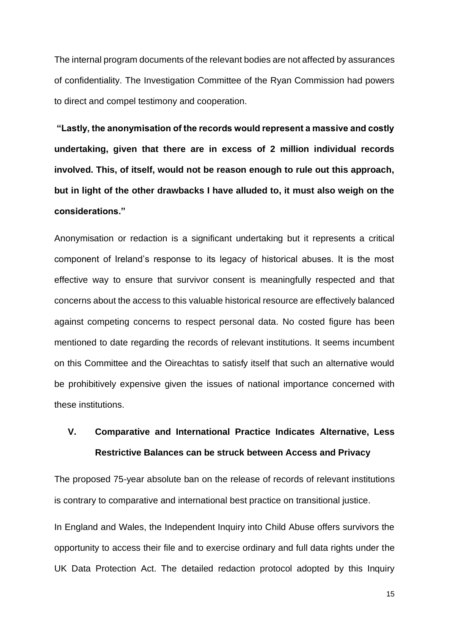The internal program documents of the relevant bodies are not affected by assurances of confidentiality. The Investigation Committee of the Ryan Commission had powers to direct and compel testimony and cooperation.

**"Lastly, the anonymisation of the records would represent a massive and costly undertaking, given that there are in excess of 2 million individual records involved. This, of itself, would not be reason enough to rule out this approach, but in light of the other drawbacks I have alluded to, it must also weigh on the considerations."**

Anonymisation or redaction is a significant undertaking but it represents a critical component of Ireland's response to its legacy of historical abuses. It is the most effective way to ensure that survivor consent is meaningfully respected and that concerns about the access to this valuable historical resource are effectively balanced against competing concerns to respect personal data. No costed figure has been mentioned to date regarding the records of relevant institutions. It seems incumbent on this Committee and the Oireachtas to satisfy itself that such an alternative would be prohibitively expensive given the issues of national importance concerned with these institutions.

# **V. Comparative and International Practice Indicates Alternative, Less Restrictive Balances can be struck between Access and Privacy**

The proposed 75-year absolute ban on the release of records of relevant institutions is contrary to comparative and international best practice on transitional justice.

In England and Wales, the Independent Inquiry into Child Abuse offers survivors the opportunity to access their file and to exercise ordinary and full data rights under the UK Data Protection Act. The detailed redaction protocol adopted by this Inquiry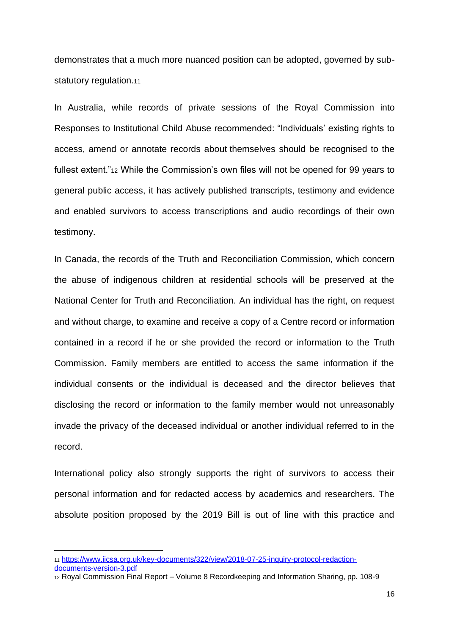demonstrates that a much more nuanced position can be adopted, governed by substatutory regulation.<sub>11</sub>

In Australia, while records of private sessions of the Royal Commission into Responses to Institutional Child Abuse recommended: "Individuals' existing rights to access, amend or annotate records about themselves should be recognised to the fullest extent."<sup>12</sup> While the Commission's own files will not be opened for 99 years to general public access, it has actively published transcripts, testimony and evidence and enabled survivors to access transcriptions and audio recordings of their own testimony.

In Canada, the records of the Truth and Reconciliation Commission, which concern the abuse of indigenous children at residential schools will be preserved at the National Center for Truth and Reconciliation. An individual has the right, on request and without charge, to examine and receive a copy of a Centre record or information contained in a record if he or she provided the record or information to the Truth Commission. Family members are entitled to access the same information if the individual consents or the individual is deceased and the director believes that disclosing the record or information to the family member would not unreasonably invade the privacy of the deceased individual or another individual referred to in the record.

International policy also strongly supports the right of survivors to access their personal information and for redacted access by academics and researchers. The absolute position proposed by the 2019 Bill is out of line with this practice and

[documents-version-3.pdf](https://www.iicsa.org.uk/key-documents/322/view/2018-07-25-inquiry-protocol-redaction-documents-version-3.pdf)

<sup>11</sup> [https://www.iicsa.org.uk/key-documents/322/view/2018-07-25-inquiry-protocol-redaction-](https://www.iicsa.org.uk/key-documents/322/view/2018-07-25-inquiry-protocol-redaction-documents-version-3.pdf)

<sup>12</sup> Royal Commission Final Report – Volume 8 Recordkeeping and Information Sharing, pp. 108-9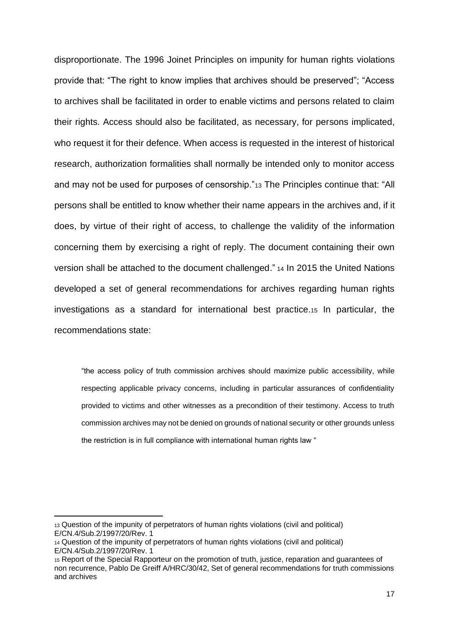disproportionate. The 1996 Joinet Principles on impunity for human rights violations provide that: "The right to know implies that archives should be preserved"; "Access to archives shall be facilitated in order to enable victims and persons related to claim their rights. Access should also be facilitated, as necessary, for persons implicated, who request it for their defence. When access is requested in the interest of historical research, authorization formalities shall normally be intended only to monitor access and may not be used for purposes of censorship."<sup>13</sup> The Principles continue that: "All persons shall be entitled to know whether their name appears in the archives and, if it does, by virtue of their right of access, to challenge the validity of the information concerning them by exercising a right of reply. The document containing their own version shall be attached to the document challenged." <sup>14</sup> In 2015 the United Nations developed a set of general recommendations for archives regarding human rights investigations as a standard for international best practice.<sup>15</sup> In particular, the recommendations state:

"the access policy of truth commission archives should maximize public accessibility, while respecting applicable privacy concerns, including in particular assurances of confidentiality provided to victims and other witnesses as a precondition of their testimony. Access to truth commission archives may not be denied on grounds of national security or other grounds unless the restriction is in full compliance with international human rights law "

<sup>13</sup> Question of the impunity of perpetrators of human rights violations (civil and political) E/CN.4/Sub.2/1997/20/Rev. 1

<sup>14</sup> Question of the impunity of perpetrators of human rights violations (civil and political) E/CN.4/Sub.2/1997/20/Rev. 1

<sup>15</sup> Report of the Special Rapporteur on the promotion of truth, justice, reparation and guarantees of non recurrence, Pablo De Greiff A/HRC/30/42, Set of general recommendations for truth commissions and archives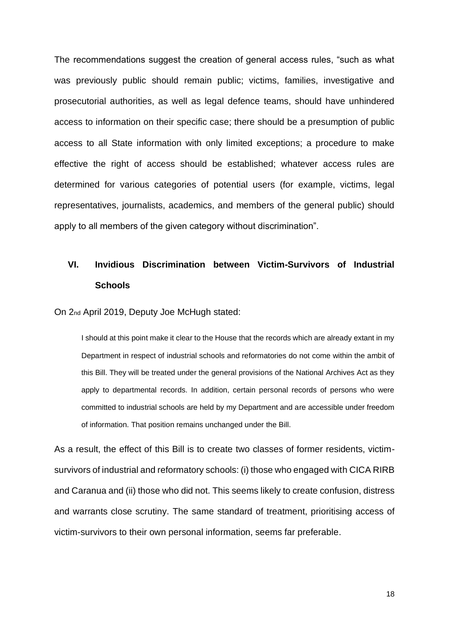The recommendations suggest the creation of general access rules, "such as what was previously public should remain public; victims, families, investigative and prosecutorial authorities, as well as legal defence teams, should have unhindered access to information on their specific case; there should be a presumption of public access to all State information with only limited exceptions; a procedure to make effective the right of access should be established; whatever access rules are determined for various categories of potential users (for example, victims, legal representatives, journalists, academics, and members of the general public) should apply to all members of the given category without discrimination".

# **VI. Invidious Discrimination between Victim-Survivors of Industrial Schools**

On 2nd April 2019, Deputy Joe McHugh stated:

I should at this point make it clear to the House that the records which are already extant in my Department in respect of industrial schools and reformatories do not come within the ambit of this Bill. They will be treated under the general provisions of the National Archives Act as they apply to departmental records. In addition, certain personal records of persons who were committed to industrial schools are held by my Department and are accessible under freedom of information. That position remains unchanged under the Bill.

As a result, the effect of this Bill is to create two classes of former residents, victimsurvivors of industrial and reformatory schools: (i) those who engaged with CICA RIRB and Caranua and (ii) those who did not. This seems likely to create confusion, distress and warrants close scrutiny. The same standard of treatment, prioritising access of victim-survivors to their own personal information, seems far preferable.